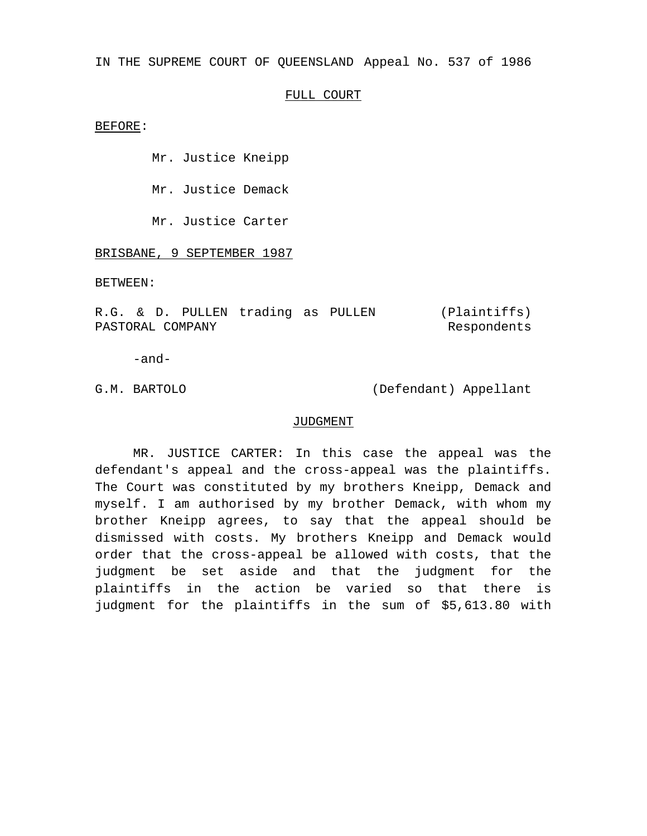IN THE SUPREME COURT OF QUEENSLAND Appeal No. 537 of 1986

# FULL COURT

BEFORE:

Mr. Justice Kneipp

Mr. Justice Demack

Mr. Justice Carter

BRISBANE, 9 SEPTEMBER 1987

BETWEEN:

R.G. & D. PULLEN trading as PULLEN PASTORAL COMPANY (Plaintiffs) Respondents

-and-

G.M. BARTOLO (Defendant) Appellant

## JUDGMENT

MR. JUSTICE CARTER: In this case the appeal was the defendant's appeal and the cross-appeal was the plaintiffs. The Court was constituted by my brothers Kneipp, Demack and myself. I am authorised by my brother Demack, with whom my brother Kneipp agrees, to say that the appeal should be dismissed with costs. My brothers Kneipp and Demack would order that the cross-appeal be allowed with costs, that the judgment be set aside and that the judgment for the plaintiffs in the action be varied so that there is judgment for the plaintiffs in the sum of \$5,613.80 with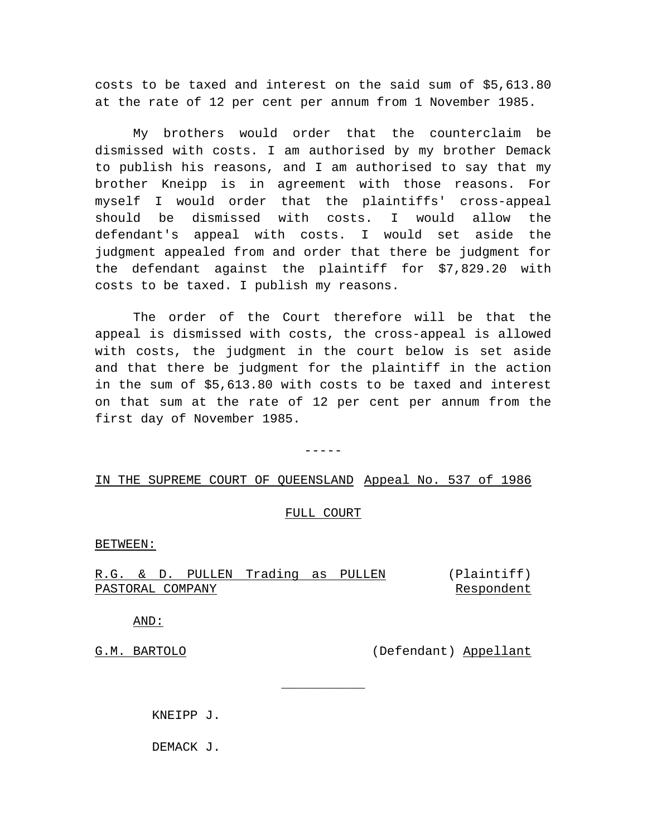costs to be taxed and interest on the said sum of \$5,613.80 at the rate of 12 per cent per annum from 1 November 1985.

My brothers would order that the counterclaim be dismissed with costs. I am authorised by my brother Demack to publish his reasons, and I am authorised to say that my brother Kneipp is in agreement with those reasons. For myself I would order that the plaintiffs' cross-appeal should be dismissed with costs. I would allow the defendant's appeal with costs. I would set aside the judgment appealed from and order that there be judgment for the defendant against the plaintiff for \$7,829.20 with costs to be taxed. I publish my reasons.

The order of the Court therefore will be that the appeal is dismissed with costs, the cross-appeal is allowed with costs, the judgment in the court below is set aside and that there be judgment for the plaintiff in the action in the sum of \$5,613.80 with costs to be taxed and interest on that sum at the rate of 12 per cent per annum from the first day of November 1985.

-----

# IN THE SUPREME COURT OF QUEENSLAND Appeal No. 537 of 1986

#### FULL COURT

### BETWEEN:

R.G. & D. PULLEN Trading as PULLEN (Plaintiff) PASTORAL COMPANY Respondent

 $\overline{\phantom{a}}$  , where  $\overline{\phantom{a}}$ 

AND:

G.M. BARTOLO (Defendant) Appellant

KNEIPP J.

DEMACK J.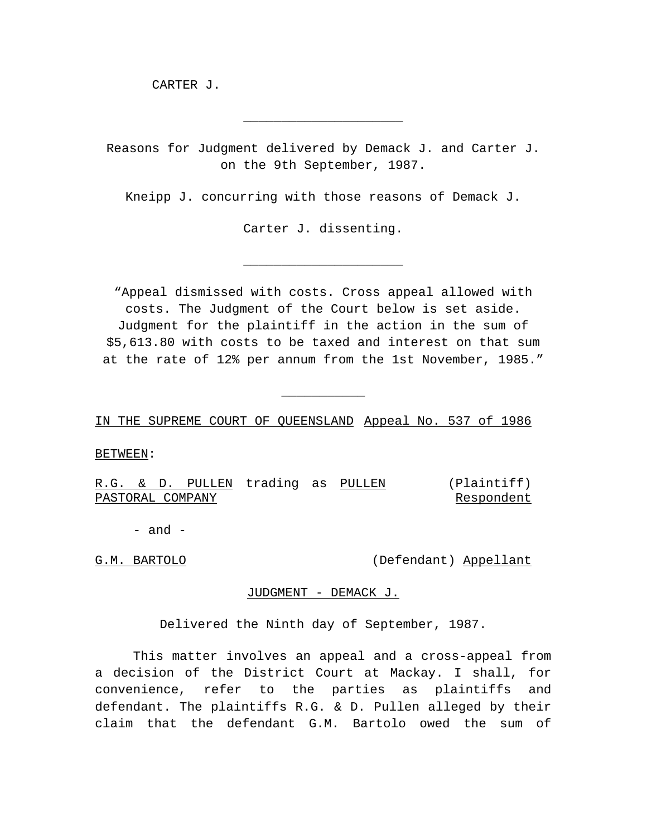CARTER J.

Reasons for Judgment delivered by Demack J. and Carter J. on the 9th September, 1987.

\_\_\_\_\_\_\_\_\_\_\_\_\_\_\_\_\_\_\_\_\_

Kneipp J. concurring with those reasons of Demack J.

Carter J. dissenting.

\_\_\_\_\_\_\_\_\_\_\_\_\_\_\_\_\_\_\_\_\_

"Appeal dismissed with costs. Cross appeal allowed with costs. The Judgment of the Court below is set aside. Judgment for the plaintiff in the action in the sum of \$5,613.80 with costs to be taxed and interest on that sum at the rate of 12% per annum from the 1st November, 1985."

 $\overline{\phantom{a}}$  , where  $\overline{\phantom{a}}$ 

IN THE SUPREME COURT OF QUEENSLAND Appeal No. 537 of 1986

BETWEEN:

R.G. & D. PULLEN trading as PULLEN PASTORAL COMPANY (Plaintiff) Respondent

 $-$  and  $-$ 

G.M. BARTOLO (Defendant) Appellant

#### JUDGMENT - DEMACK J.

Delivered the Ninth day of September, 1987.

This matter involves an appeal and a cross-appeal from a decision of the District Court at Mackay. I shall, for convenience, refer to the parties as plaintiffs and defendant. The plaintiffs R.G. & D. Pullen alleged by their claim that the defendant G.M. Bartolo owed the sum of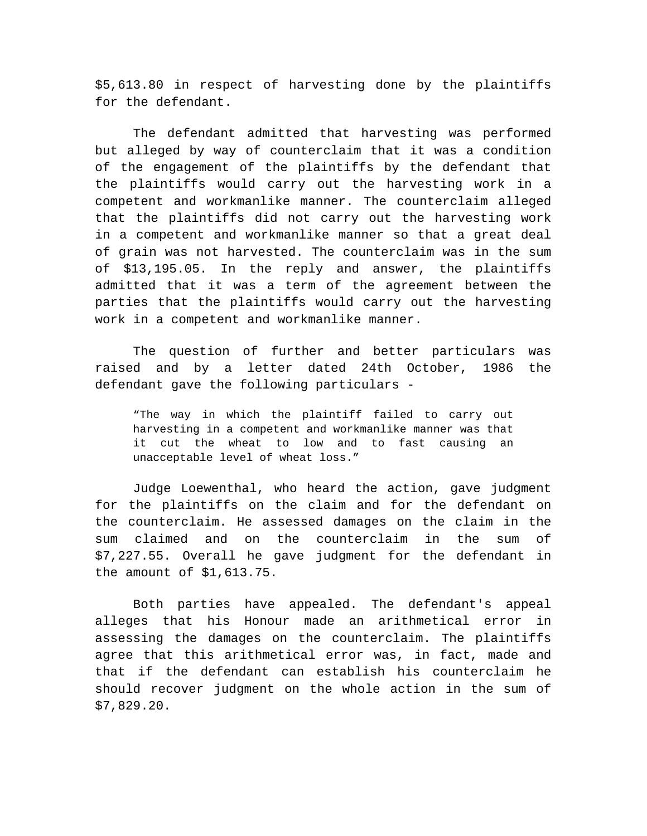\$5,613.80 in respect of harvesting done by the plaintiffs for the defendant.

The defendant admitted that harvesting was performed but alleged by way of counterclaim that it was a condition of the engagement of the plaintiffs by the defendant that the plaintiffs would carry out the harvesting work in a competent and workmanlike manner. The counterclaim alleged that the plaintiffs did not carry out the harvesting work in a competent and workmanlike manner so that a great deal of grain was not harvested. The counterclaim was in the sum of \$13,195.05. In the reply and answer, the plaintiffs admitted that it was a term of the agreement between the parties that the plaintiffs would carry out the harvesting work in a competent and workmanlike manner.

The question of further and better particulars was raised and by a letter dated 24th October, 1986 the defendant gave the following particulars -

"The way in which the plaintiff failed to carry out harvesting in a competent and workmanlike manner was that it cut the wheat to low and to fast causing an unacceptable level of wheat loss."

Judge Loewenthal, who heard the action, gave judgment for the plaintiffs on the claim and for the defendant on the counterclaim. He assessed damages on the claim in the sum claimed and on the counterclaim in the sum of \$7,227.55. Overall he gave judgment for the defendant in the amount of \$1,613.75.

Both parties have appealed. The defendant's appeal alleges that his Honour made an arithmetical error in assessing the damages on the counterclaim. The plaintiffs agree that this arithmetical error was, in fact, made and that if the defendant can establish his counterclaim he should recover judgment on the whole action in the sum of \$7,829.20.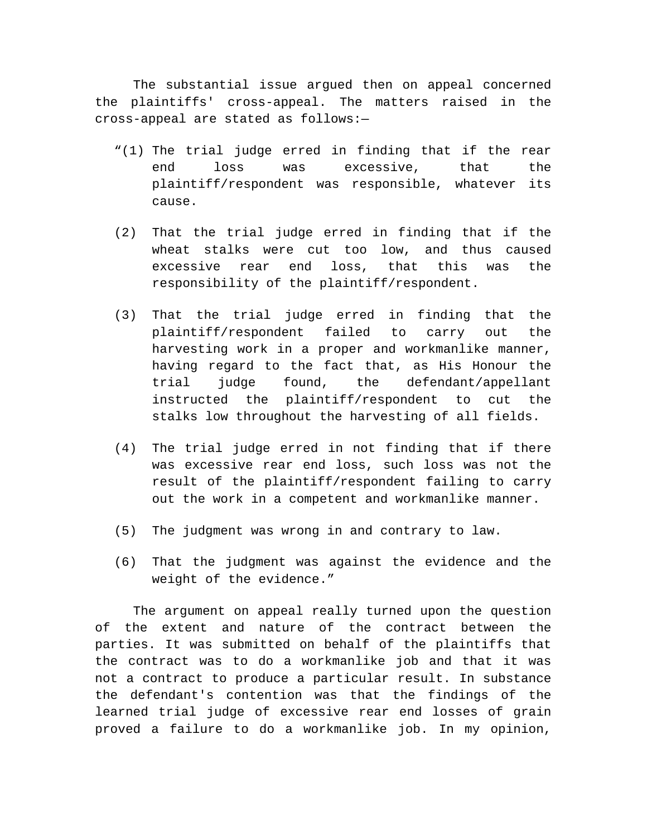The substantial issue argued then on appeal concerned the plaintiffs' cross-appeal. The matters raised in the cross-appeal are stated as follows:—

- "(1) The trial judge erred in finding that if the rear end loss was excessive, that the plaintiff/respondent was responsible, whatever its cause.
- (2) That the trial judge erred in finding that if the wheat stalks were cut too low, and thus caused excessive rear end loss, that this was the responsibility of the plaintiff/respondent.
- (3) That the trial judge erred in finding that the plaintiff/respondent failed to carry out the harvesting work in a proper and workmanlike manner, having regard to the fact that, as His Honour the trial judge found, the defendant/appellant instructed the plaintiff/respondent to cut the stalks low throughout the harvesting of all fields.
- (4) The trial judge erred in not finding that if there was excessive rear end loss, such loss was not the result of the plaintiff/respondent failing to carry out the work in a competent and workmanlike manner.
- (5) The judgment was wrong in and contrary to law.
- (6) That the judgment was against the evidence and the weight of the evidence."

The argument on appeal really turned upon the question of the extent and nature of the contract between the parties. It was submitted on behalf of the plaintiffs that the contract was to do a workmanlike job and that it was not a contract to produce a particular result. In substance the defendant's contention was that the findings of the learned trial judge of excessive rear end losses of grain proved a failure to do a workmanlike job. In my opinion,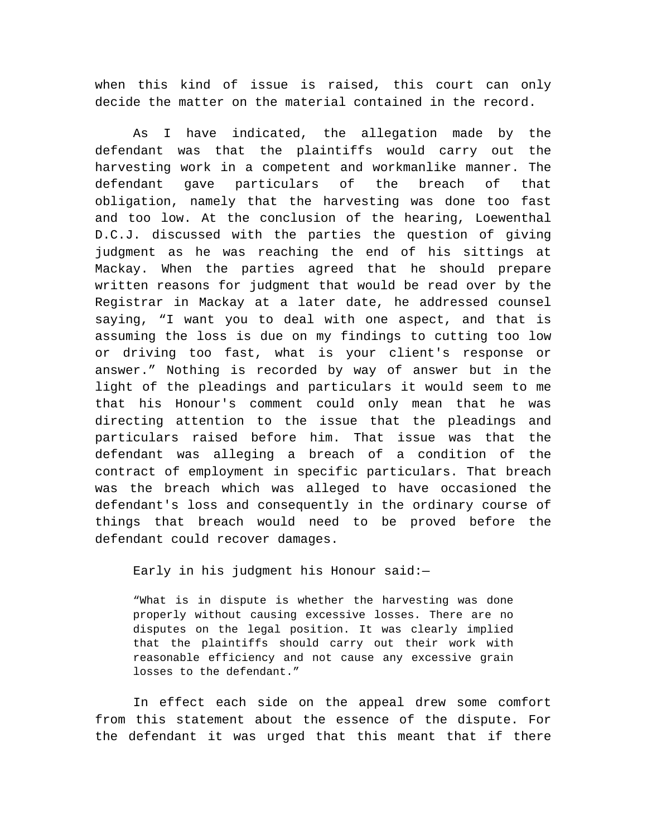when this kind of issue is raised, this court can only decide the matter on the material contained in the record.

As I have indicated, the allegation made by the defendant was that the plaintiffs would carry out the harvesting work in a competent and workmanlike manner. The defendant gave particulars of the breach of that obligation, namely that the harvesting was done too fast and too low. At the conclusion of the hearing, Loewenthal D.C.J. discussed with the parties the question of giving judgment as he was reaching the end of his sittings at Mackay. When the parties agreed that he should prepare written reasons for judgment that would be read over by the Registrar in Mackay at a later date, he addressed counsel saying, "I want you to deal with one aspect, and that is assuming the loss is due on my findings to cutting too low or driving too fast, what is your client's response or answer." Nothing is recorded by way of answer but in the light of the pleadings and particulars it would seem to me that his Honour's comment could only mean that he was directing attention to the issue that the pleadings and particulars raised before him. That issue was that the defendant was alleging a breach of a condition of the contract of employment in specific particulars. That breach was the breach which was alleged to have occasioned the defendant's loss and consequently in the ordinary course of things that breach would need to be proved before the defendant could recover damages.

Early in his judgment his Honour said:—

"What is in dispute is whether the harvesting was done properly without causing excessive losses. There are no disputes on the legal position. It was clearly implied that the plaintiffs should carry out their work with reasonable efficiency and not cause any excessive grain losses to the defendant."

In effect each side on the appeal drew some comfort from this statement about the essence of the dispute. For the defendant it was urged that this meant that if there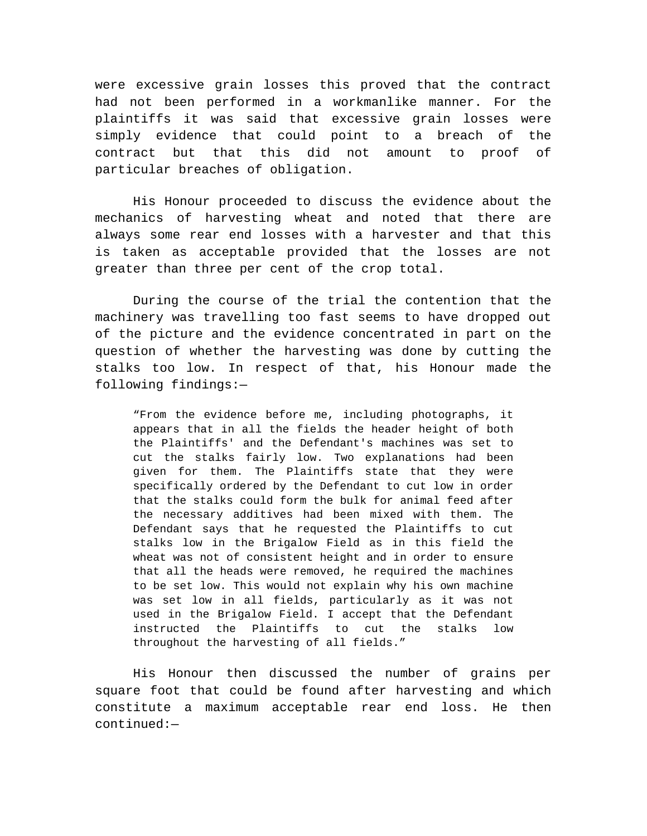were excessive grain losses this proved that the contract had not been performed in a workmanlike manner. For the plaintiffs it was said that excessive grain losses were simply evidence that could point to a breach of the contract but that this did not amount to proof of particular breaches of obligation.

His Honour proceeded to discuss the evidence about the mechanics of harvesting wheat and noted that there are always some rear end losses with a harvester and that this is taken as acceptable provided that the losses are not greater than three per cent of the crop total.

During the course of the trial the contention that the machinery was travelling too fast seems to have dropped out of the picture and the evidence concentrated in part on the question of whether the harvesting was done by cutting the stalks too low. In respect of that, his Honour made the following findings:—

"From the evidence before me, including photographs, it appears that in all the fields the header height of both the Plaintiffs' and the Defendant's machines was set to cut the stalks fairly low. Two explanations had been given for them. The Plaintiffs state that they were specifically ordered by the Defendant to cut low in order that the stalks could form the bulk for animal feed after the necessary additives had been mixed with them. The Defendant says that he requested the Plaintiffs to cut stalks low in the Brigalow Field as in this field the wheat was not of consistent height and in order to ensure that all the heads were removed, he required the machines to be set low. This would not explain why his own machine was set low in all fields, particularly as it was not used in the Brigalow Field. I accept that the Defendant instructed the Plaintiffs to cut the stalks low throughout the harvesting of all fields."

His Honour then discussed the number of grains per square foot that could be found after harvesting and which constitute a maximum acceptable rear end loss. He then continued:—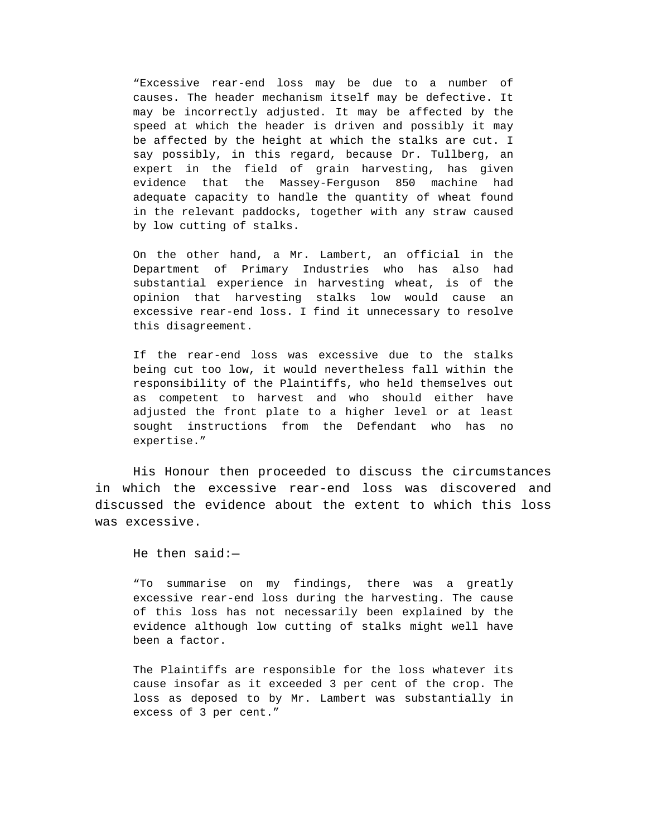"Excessive rear-end loss may be due to a number of causes. The header mechanism itself may be defective. It may be incorrectly adjusted. It may be affected by the speed at which the header is driven and possibly it may be affected by the height at which the stalks are cut. I say possibly, in this regard, because Dr. Tullberg, an expert in the field of grain harvesting, has given evidence that the Massey-Ferguson 850 machine had adequate capacity to handle the quantity of wheat found in the relevant paddocks, together with any straw caused by low cutting of stalks.

On the other hand, a Mr. Lambert, an official in the Department of Primary Industries who has also had substantial experience in harvesting wheat, is of the opinion that harvesting stalks low would cause an excessive rear-end loss. I find it unnecessary to resolve this disagreement.

If the rear-end loss was excessive due to the stalks being cut too low, it would nevertheless fall within the responsibility of the Plaintiffs, who held themselves out as competent to harvest and who should either have adjusted the front plate to a higher level or at least sought instructions from the Defendant who has no expertise."

His Honour then proceeded to discuss the circumstances in which the excessive rear-end loss was discovered and discussed the evidence about the extent to which this loss was excessive.

He then said:—

"To summarise on my findings, there was a greatly excessive rear-end loss during the harvesting. The cause of this loss has not necessarily been explained by the evidence although low cutting of stalks might well have been a factor.

The Plaintiffs are responsible for the loss whatever its cause insofar as it exceeded 3 per cent of the crop. The loss as deposed to by Mr. Lambert was substantially in excess of 3 per cent."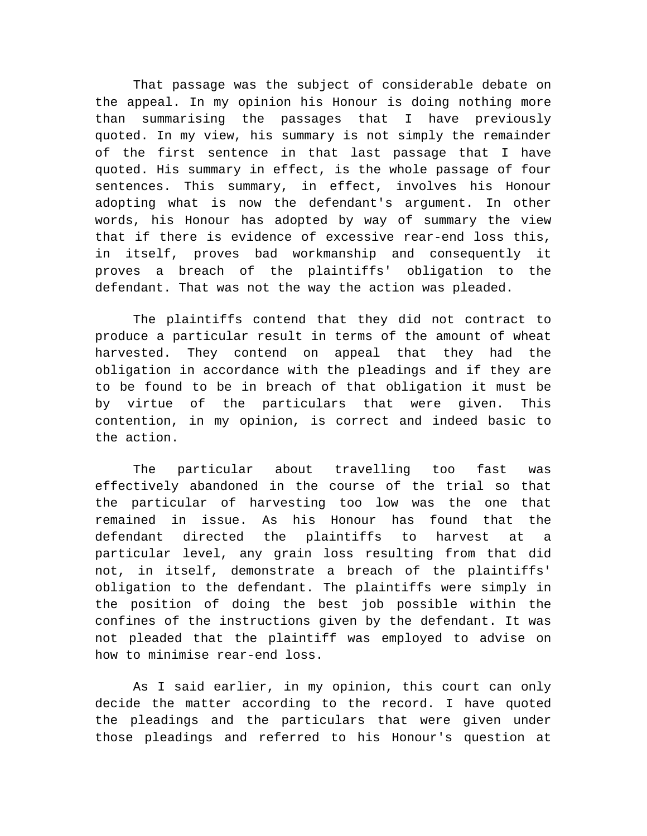That passage was the subject of considerable debate on the appeal. In my opinion his Honour is doing nothing more than summarising the passages that I have previously quoted. In my view, his summary is not simply the remainder of the first sentence in that last passage that I have quoted. His summary in effect, is the whole passage of four sentences. This summary, in effect, involves his Honour adopting what is now the defendant's argument. In other words, his Honour has adopted by way of summary the view that if there is evidence of excessive rear-end loss this, in itself, proves bad workmanship and consequently it proves a breach of the plaintiffs' obligation to the defendant. That was not the way the action was pleaded.

The plaintiffs contend that they did not contract to produce a particular result in terms of the amount of wheat harvested. They contend on appeal that they had the obligation in accordance with the pleadings and if they are to be found to be in breach of that obligation it must be by virtue of the particulars that were given. This contention, in my opinion, is correct and indeed basic to the action.

The particular about travelling too fast was effectively abandoned in the course of the trial so that the particular of harvesting too low was the one that remained in issue. As his Honour has found that the defendant directed the plaintiffs to harvest at a particular level, any grain loss resulting from that did not, in itself, demonstrate a breach of the plaintiffs' obligation to the defendant. The plaintiffs were simply in the position of doing the best job possible within the confines of the instructions given by the defendant. It was not pleaded that the plaintiff was employed to advise on how to minimise rear-end loss.

As I said earlier, in my opinion, this court can only decide the matter according to the record. I have quoted the pleadings and the particulars that were given under those pleadings and referred to his Honour's question at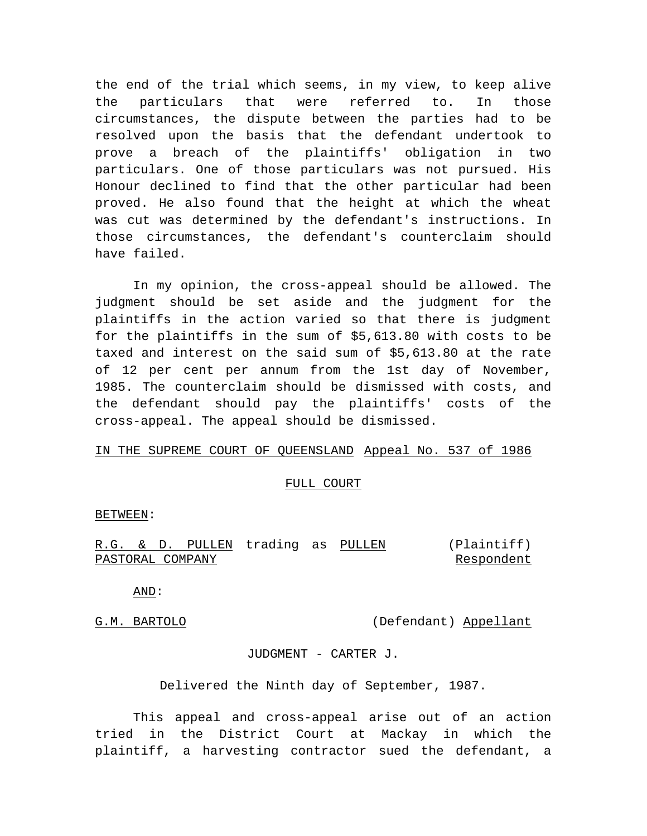the end of the trial which seems, in my view, to keep alive the particulars that were referred to. In those circumstances, the dispute between the parties had to be resolved upon the basis that the defendant undertook to prove a breach of the plaintiffs' obligation in two particulars. One of those particulars was not pursued. His Honour declined to find that the other particular had been proved. He also found that the height at which the wheat was cut was determined by the defendant's instructions. In those circumstances, the defendant's counterclaim should have failed.

In my opinion, the cross-appeal should be allowed. The judgment should be set aside and the judgment for the plaintiffs in the action varied so that there is judgment for the plaintiffs in the sum of \$5,613.80 with costs to be taxed and interest on the said sum of \$5,613.80 at the rate of 12 per cent per annum from the 1st day of November, 1985. The counterclaim should be dismissed with costs, and the defendant should pay the plaintiffs' costs of the cross-appeal. The appeal should be dismissed.

## IN THE SUPREME COURT OF QUEENSLAND Appeal No. 537 of 1986

### FULL COURT

BETWEEN:

|                  |  | R.G. & D. PULLEN trading as PULLEN |  | (Plaintiff) |
|------------------|--|------------------------------------|--|-------------|
| PASTORAL COMPANY |  |                                    |  | Respondent  |

AND:

G.M. BARTOLO (Defendant) Appellant

JUDGMENT - CARTER J.

Delivered the Ninth day of September, 1987.

This appeal and cross-appeal arise out of an action tried in the District Court at Mackay in which the plaintiff, a harvesting contractor sued the defendant, a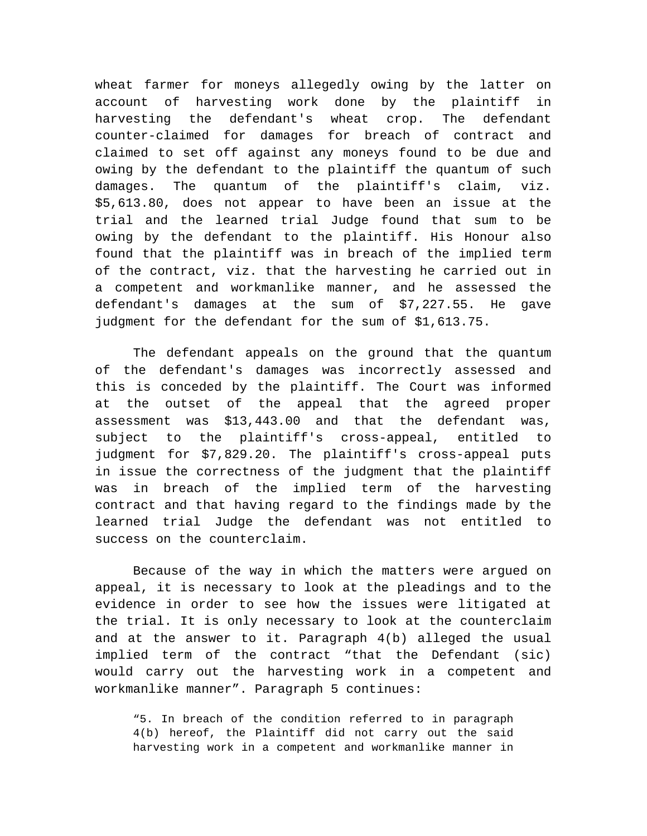wheat farmer for moneys allegedly owing by the latter on account of harvesting work done by the plaintiff in harvesting the defendant's wheat crop. The defendant counter-claimed for damages for breach of contract and claimed to set off against any moneys found to be due and owing by the defendant to the plaintiff the quantum of such damages. The quantum of the plaintiff's claim, viz. \$5,613.80, does not appear to have been an issue at the trial and the learned trial Judge found that sum to be owing by the defendant to the plaintiff. His Honour also found that the plaintiff was in breach of the implied term of the contract, viz. that the harvesting he carried out in a competent and workmanlike manner, and he assessed the defendant's damages at the sum of \$7,227.55. He gave judgment for the defendant for the sum of \$1,613.75.

The defendant appeals on the ground that the quantum of the defendant's damages was incorrectly assessed and this is conceded by the plaintiff. The Court was informed at the outset of the appeal that the agreed proper assessment was \$13,443.00 and that the defendant was, subject to the plaintiff's cross-appeal, entitled to judgment for \$7,829.20. The plaintiff's cross-appeal puts in issue the correctness of the judgment that the plaintiff was in breach of the implied term of the harvesting contract and that having regard to the findings made by the learned trial Judge the defendant was not entitled to success on the counterclaim.

Because of the way in which the matters were argued on appeal, it is necessary to look at the pleadings and to the evidence in order to see how the issues were litigated at the trial. It is only necessary to look at the counterclaim and at the answer to it. Paragraph 4(b) alleged the usual implied term of the contract "that the Defendant (sic) would carry out the harvesting work in a competent and workmanlike manner". Paragraph 5 continues:

"5. In breach of the condition referred to in paragraph 4(b) hereof, the Plaintiff did not carry out the said harvesting work in a competent and workmanlike manner in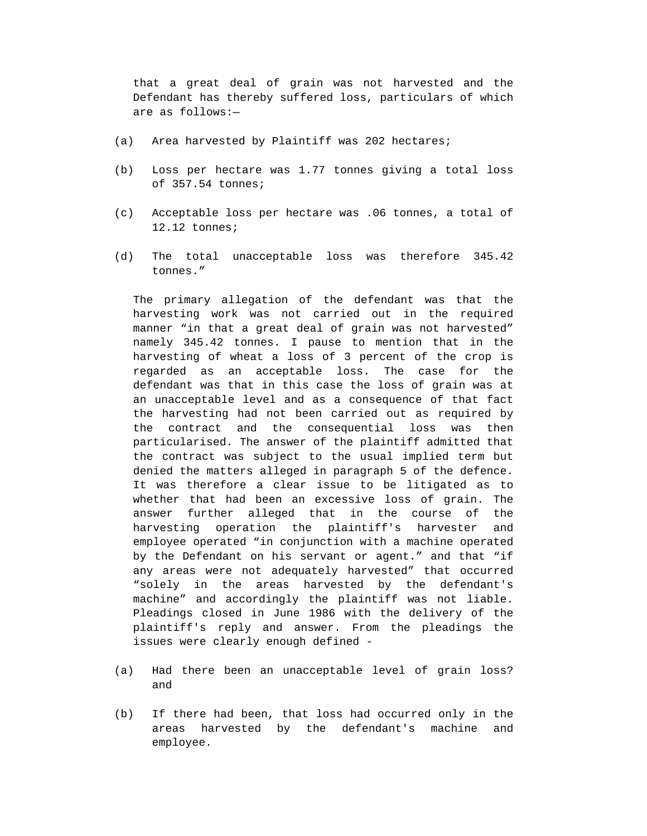that a great deal of grain was not harvested and the Defendant has thereby suffered loss, particulars of which are as follows:—

- (a) Area harvested by Plaintiff was 202 hectares;
- (b) Loss per hectare was 1.77 tonnes giving a total loss of 357.54 tonnes;
- (c) Acceptable loss per hectare was .06 tonnes, a total of 12.12 tonnes;
- (d) The total unacceptable loss was therefore 345.42 tonnes."

The primary allegation of the defendant was that the harvesting work was not carried out in the required manner "in that a great deal of grain was not harvested" namely 345.42 tonnes. I pause to mention that in the harvesting of wheat a loss of 3 percent of the crop is regarded as an acceptable loss. The case for the defendant was that in this case the loss of grain was at an unacceptable level and as a consequence of that fact the harvesting had not been carried out as required by the contract and the consequential loss was then particularised. The answer of the plaintiff admitted that the contract was subject to the usual implied term but denied the matters alleged in paragraph 5 of the defence. It was therefore a clear issue to be litigated as to whether that had been an excessive loss of grain. The answer further alleged that in the course of the harvesting operation the plaintiff's harvester and employee operated "in conjunction with a machine operated by the Defendant on his servant or agent." and that "if any areas were not adequately harvested" that occurred "solely in the areas harvested by the defendant's machine" and accordingly the plaintiff was not liable. Pleadings closed in June 1986 with the delivery of the plaintiff's reply and answer. From the pleadings the issues were clearly enough defined -

- (a) Had there been an unacceptable level of grain loss? and
- (b) If there had been, that loss had occurred only in the areas harvested by the defendant's machine and employee.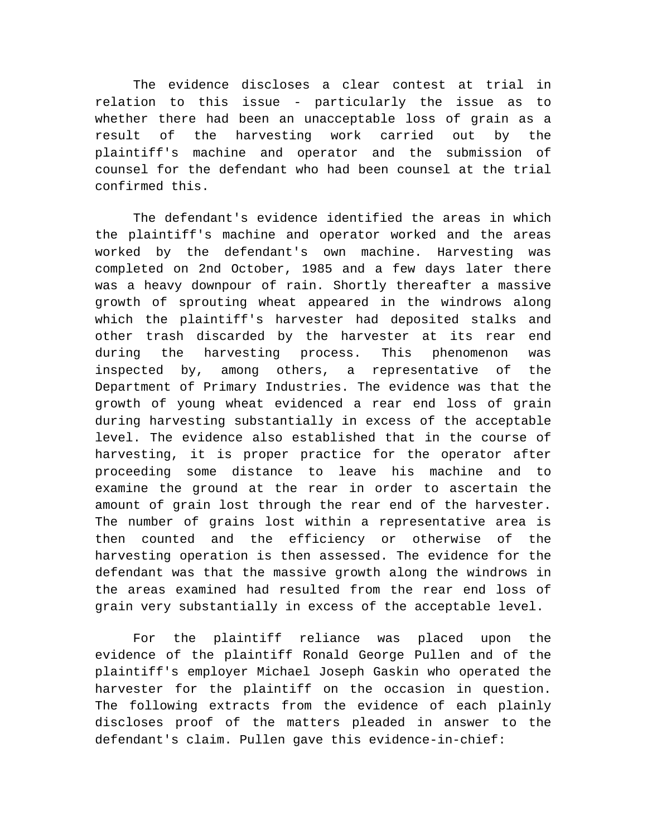The evidence discloses a clear contest at trial in relation to this issue - particularly the issue as to whether there had been an unacceptable loss of grain as a result of the harvesting work carried out by the plaintiff's machine and operator and the submission of counsel for the defendant who had been counsel at the trial confirmed this.

The defendant's evidence identified the areas in which the plaintiff's machine and operator worked and the areas worked by the defendant's own machine. Harvesting was completed on 2nd October, 1985 and a few days later there was a heavy downpour of rain. Shortly thereafter a massive growth of sprouting wheat appeared in the windrows along which the plaintiff's harvester had deposited stalks and other trash discarded by the harvester at its rear end during the harvesting process. This phenomenon was inspected by, among others, a representative of the Department of Primary Industries. The evidence was that the growth of young wheat evidenced a rear end loss of grain during harvesting substantially in excess of the acceptable level. The evidence also established that in the course of harvesting, it is proper practice for the operator after proceeding some distance to leave his machine and to examine the ground at the rear in order to ascertain the amount of grain lost through the rear end of the harvester. The number of grains lost within a representative area is then counted and the efficiency or otherwise of the harvesting operation is then assessed. The evidence for the defendant was that the massive growth along the windrows in the areas examined had resulted from the rear end loss of grain very substantially in excess of the acceptable level.

For the plaintiff reliance was placed upon the evidence of the plaintiff Ronald George Pullen and of the plaintiff's employer Michael Joseph Gaskin who operated the harvester for the plaintiff on the occasion in question. The following extracts from the evidence of each plainly discloses proof of the matters pleaded in answer to the defendant's claim. Pullen gave this evidence-in-chief: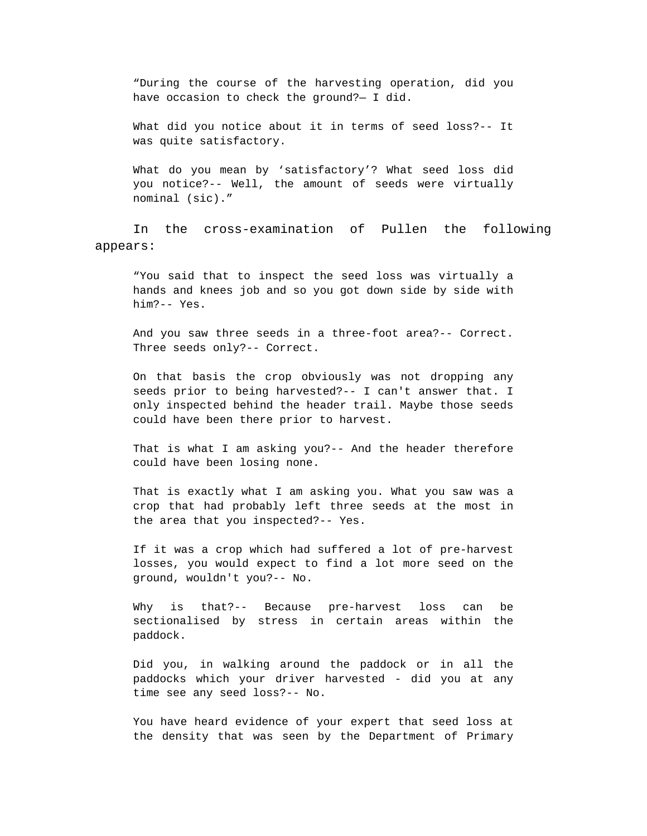"During the course of the harvesting operation, did you have occasion to check the ground?— I did.

What did you notice about it in terms of seed loss?-- It was quite satisfactory.

What do you mean by 'satisfactory'? What seed loss did you notice?-- Well, the amount of seeds were virtually nominal (sic)."

In the cross-examination of Pullen the following appears:

"You said that to inspect the seed loss was virtually a hands and knees job and so you got down side by side with him?-- Yes.

And you saw three seeds in a three-foot area?-- Correct. Three seeds only?-- Correct.

On that basis the crop obviously was not dropping any seeds prior to being harvested?-- I can't answer that. I only inspected behind the header trail. Maybe those seeds could have been there prior to harvest.

That is what I am asking you?-- And the header therefore could have been losing none.

That is exactly what I am asking you. What you saw was a crop that had probably left three seeds at the most in the area that you inspected?-- Yes.

If it was a crop which had suffered a lot of pre-harvest losses, you would expect to find a lot more seed on the ground, wouldn't you?-- No.

Why is that?-- Because pre-harvest loss can be sectionalised by stress in certain areas within the paddock.

Did you, in walking around the paddock or in all the paddocks which your driver harvested - did you at any time see any seed loss?-- No.

You have heard evidence of your expert that seed loss at the density that was seen by the Department of Primary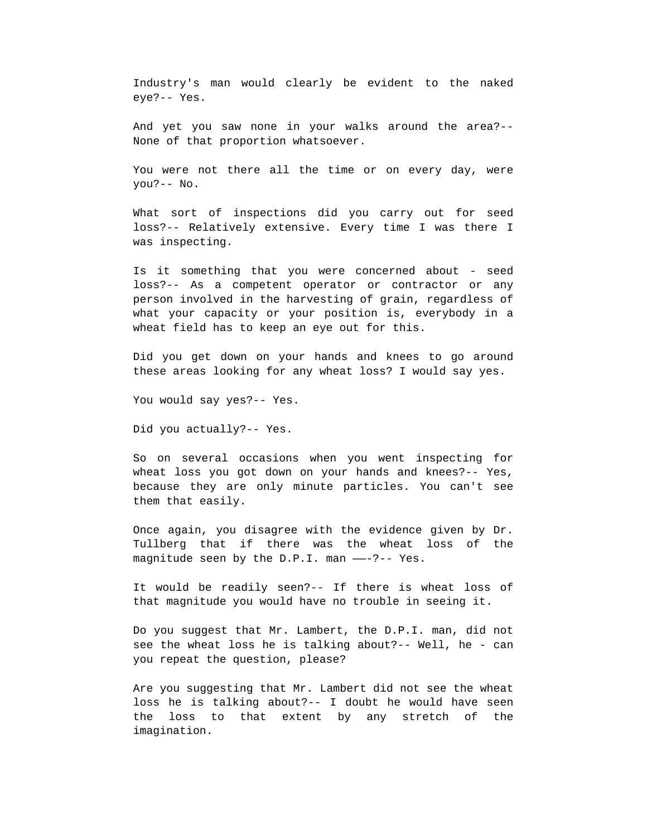Industry's man would clearly be evident to the naked eye?-- Yes.

And yet you saw none in your walks around the area?-- None of that proportion whatsoever.

You were not there all the time or on every day, were you?-- No.

What sort of inspections did you carry out for seed loss?-- Relatively extensive. Every time I was there I was inspecting.

Is it something that you were concerned about - seed loss?-- As a competent operator or contractor or any person involved in the harvesting of grain, regardless of what your capacity or your position is, everybody in a wheat field has to keep an eye out for this.

Did you get down on your hands and knees to go around these areas looking for any wheat loss? I would say yes.

You would say yes?-- Yes.

Did you actually?-- Yes.

So on several occasions when you went inspecting for wheat loss you got down on your hands and knees?-- Yes, because they are only minute particles. You can't see them that easily.

Once again, you disagree with the evidence given by Dr. Tullberg that if there was the wheat loss of the magnitude seen by the D.P.I. man ——-?-- Yes.

It would be readily seen?-- If there is wheat loss of that magnitude you would have no trouble in seeing it.

Do you suggest that Mr. Lambert, the D.P.I. man, did not see the wheat loss he is talking about?-- Well, he - can you repeat the question, please?

Are you suggesting that Mr. Lambert did not see the wheat loss he is talking about?-- I doubt he would have seen the loss to that extent by any stretch of the imagination.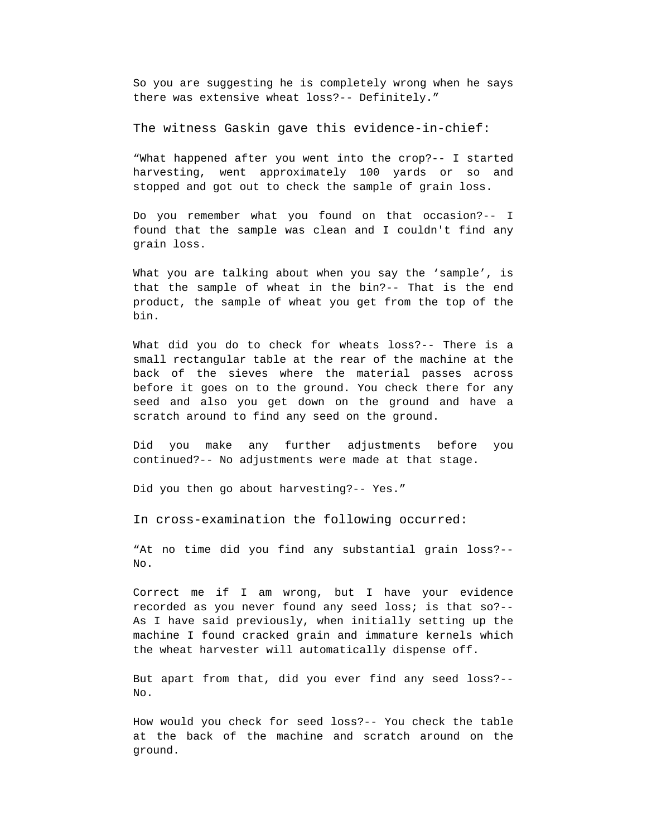So you are suggesting he is completely wrong when he says there was extensive wheat loss?-- Definitely."

The witness Gaskin gave this evidence-in-chief:

"What happened after you went into the crop?-- I started harvesting, went approximately 100 yards or so and stopped and got out to check the sample of grain loss.

Do you remember what you found on that occasion?-- I found that the sample was clean and I couldn't find any grain loss.

What you are talking about when you say the 'sample', is that the sample of wheat in the bin?-- That is the end product, the sample of wheat you get from the top of the bin.

What did you do to check for wheats loss?-- There is a small rectangular table at the rear of the machine at the back of the sieves where the material passes across before it goes on to the ground. You check there for any seed and also you get down on the ground and have a scratch around to find any seed on the ground.

Did you make any further adjustments before you continued?-- No adjustments were made at that stage.

Did you then go about harvesting?-- Yes."

In cross-examination the following occurred:

"At no time did you find any substantial grain loss?-- No.

Correct me if I am wrong, but I have your evidence recorded as you never found any seed loss; is that so?-- As I have said previously, when initially setting up the machine I found cracked grain and immature kernels which the wheat harvester will automatically dispense off.

But apart from that, did you ever find any seed loss?-- No.

How would you check for seed loss?-- You check the table at the back of the machine and scratch around on the ground.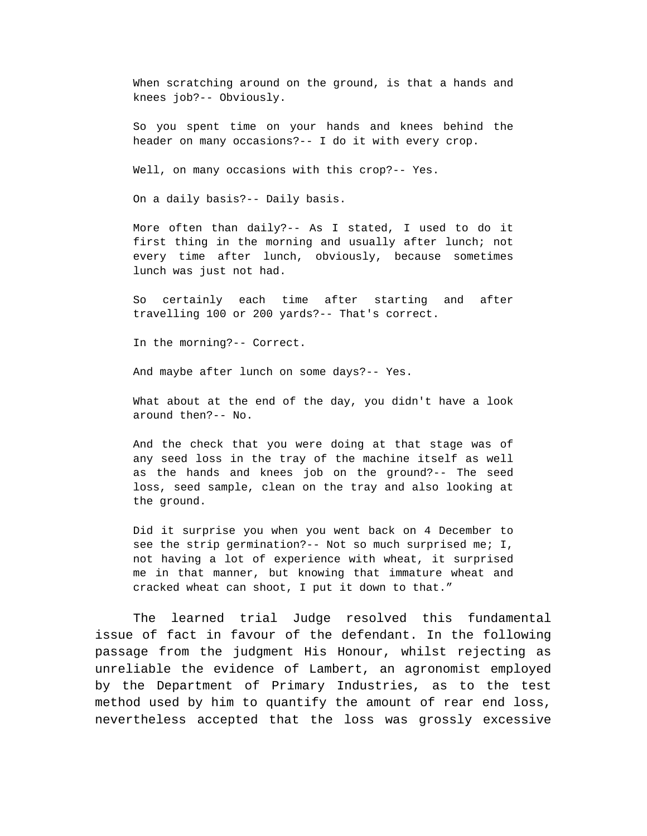When scratching around on the ground, is that a hands and knees job?-- Obviously.

So you spent time on your hands and knees behind the header on many occasions?-- I do it with every crop.

Well, on many occasions with this crop?-- Yes.

On a daily basis?-- Daily basis.

More often than daily?-- As I stated, I used to do it first thing in the morning and usually after lunch; not every time after lunch, obviously, because sometimes lunch was just not had.

So certainly each time after starting and after travelling 100 or 200 yards?-- That's correct.

In the morning?-- Correct.

And maybe after lunch on some days?-- Yes.

What about at the end of the day, you didn't have a look around then?-- No.

And the check that you were doing at that stage was of any seed loss in the tray of the machine itself as well as the hands and knees job on the ground?-- The seed loss, seed sample, clean on the tray and also looking at the ground.

Did it surprise you when you went back on 4 December to see the strip germination?-- Not so much surprised me; I, not having a lot of experience with wheat, it surprised me in that manner, but knowing that immature wheat and cracked wheat can shoot, I put it down to that."

The learned trial Judge resolved this fundamental issue of fact in favour of the defendant. In the following passage from the judgment His Honour, whilst rejecting as unreliable the evidence of Lambert, an agronomist employed by the Department of Primary Industries, as to the test method used by him to quantify the amount of rear end loss, nevertheless accepted that the loss was grossly excessive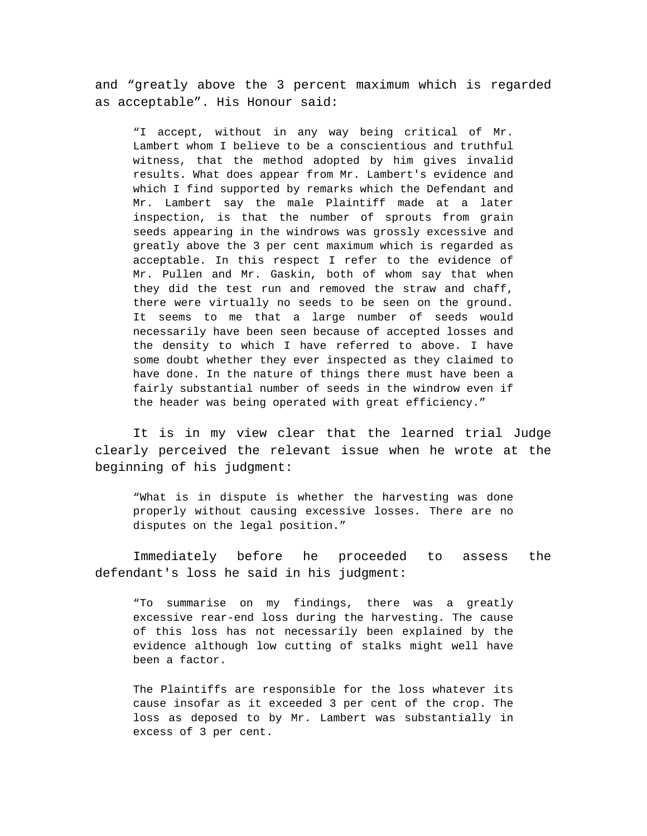and "greatly above the 3 percent maximum which is regarded as acceptable". His Honour said:

"I accept, without in any way being critical of Mr. Lambert whom I believe to be a conscientious and truthful witness, that the method adopted by him gives invalid results. What does appear from Mr. Lambert's evidence and which I find supported by remarks which the Defendant and Mr. Lambert say the male Plaintiff made at a later inspection, is that the number of sprouts from grain seeds appearing in the windrows was grossly excessive and greatly above the 3 per cent maximum which is regarded as acceptable. In this respect I refer to the evidence of Mr. Pullen and Mr. Gaskin, both of whom say that when they did the test run and removed the straw and chaff, there were virtually no seeds to be seen on the ground. It seems to me that a large number of seeds would necessarily have been seen because of accepted losses and the density to which I have referred to above. I have some doubt whether they ever inspected as they claimed to have done. In the nature of things there must have been a fairly substantial number of seeds in the windrow even if the header was being operated with great efficiency."

It is in my view clear that the learned trial Judge clearly perceived the relevant issue when he wrote at the beginning of his judgment:

"What is in dispute is whether the harvesting was done properly without causing excessive losses. There are no disputes on the legal position."

Immediately before he proceeded to assess the defendant's loss he said in his judgment:

"To summarise on my findings, there was a greatly excessive rear-end loss during the harvesting. The cause of this loss has not necessarily been explained by the evidence although low cutting of stalks might well have been a factor.

The Plaintiffs are responsible for the loss whatever its cause insofar as it exceeded 3 per cent of the crop. The loss as deposed to by Mr. Lambert was substantially in excess of 3 per cent.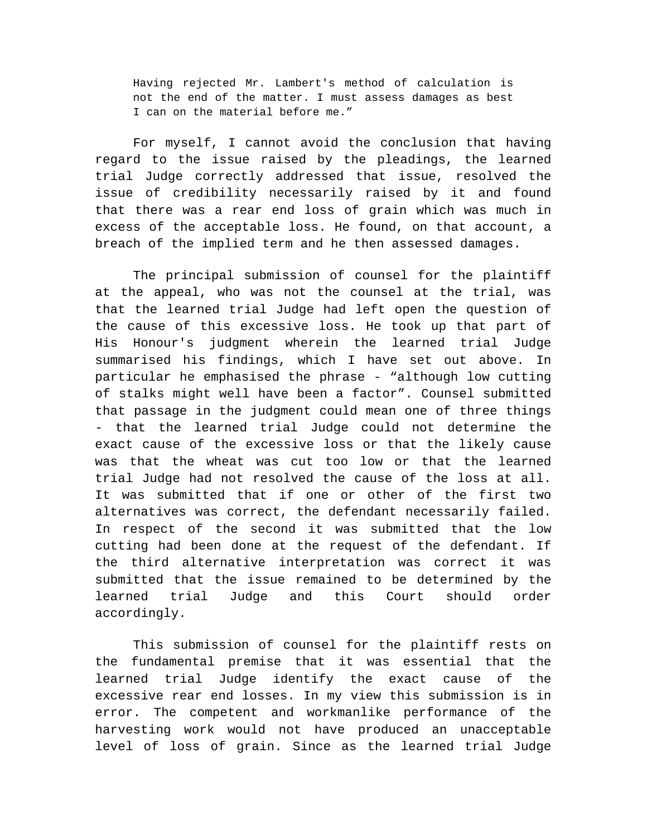Having rejected Mr. Lambert's method of calculation is not the end of the matter. I must assess damages as best I can on the material before me."

For myself, I cannot avoid the conclusion that having regard to the issue raised by the pleadings, the learned trial Judge correctly addressed that issue, resolved the issue of credibility necessarily raised by it and found that there was a rear end loss of grain which was much in excess of the acceptable loss. He found, on that account, a breach of the implied term and he then assessed damages.

The principal submission of counsel for the plaintiff at the appeal, who was not the counsel at the trial, was that the learned trial Judge had left open the question of the cause of this excessive loss. He took up that part of His Honour's judgment wherein the learned trial Judge summarised his findings, which I have set out above. In particular he emphasised the phrase - "although low cutting of stalks might well have been a factor". Counsel submitted that passage in the judgment could mean one of three things - that the learned trial Judge could not determine the exact cause of the excessive loss or that the likely cause was that the wheat was cut too low or that the learned trial Judge had not resolved the cause of the loss at all. It was submitted that if one or other of the first two alternatives was correct, the defendant necessarily failed. In respect of the second it was submitted that the low cutting had been done at the request of the defendant. If the third alternative interpretation was correct it was submitted that the issue remained to be determined by the learned trial Judge and this Court should order accordingly.

This submission of counsel for the plaintiff rests on the fundamental premise that it was essential that the learned trial Judge identify the exact cause of the excessive rear end losses. In my view this submission is in error. The competent and workmanlike performance of the harvesting work would not have produced an unacceptable level of loss of grain. Since as the learned trial Judge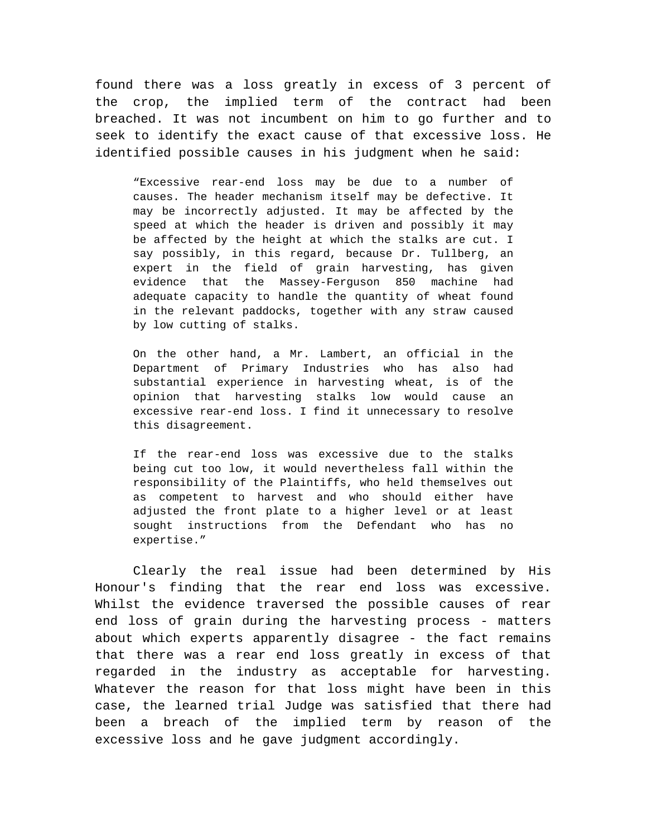found there was a loss greatly in excess of 3 percent of the crop, the implied term of the contract had been breached. It was not incumbent on him to go further and to seek to identify the exact cause of that excessive loss. He identified possible causes in his judgment when he said:

"Excessive rear-end loss may be due to a number of causes. The header mechanism itself may be defective. It may be incorrectly adjusted. It may be affected by the speed at which the header is driven and possibly it may be affected by the height at which the stalks are cut. I say possibly, in this regard, because Dr. Tullberg, an expert in the field of grain harvesting, has given evidence that the Massey-Ferguson 850 machine had adequate capacity to handle the quantity of wheat found in the relevant paddocks, together with any straw caused by low cutting of stalks.

On the other hand, a Mr. Lambert, an official in the Department of Primary Industries who has also had substantial experience in harvesting wheat, is of the opinion that harvesting stalks low would cause an excessive rear-end loss. I find it unnecessary to resolve this disagreement.

If the rear-end loss was excessive due to the stalks being cut too low, it would nevertheless fall within the responsibility of the Plaintiffs, who held themselves out as competent to harvest and who should either have adjusted the front plate to a higher level or at least sought instructions from the Defendant who has no expertise."

Clearly the real issue had been determined by His Honour's finding that the rear end loss was excessive. Whilst the evidence traversed the possible causes of rear end loss of grain during the harvesting process - matters about which experts apparently disagree - the fact remains that there was a rear end loss greatly in excess of that regarded in the industry as acceptable for harvesting. Whatever the reason for that loss might have been in this case, the learned trial Judge was satisfied that there had been a breach of the implied term by reason of the excessive loss and he gave judgment accordingly.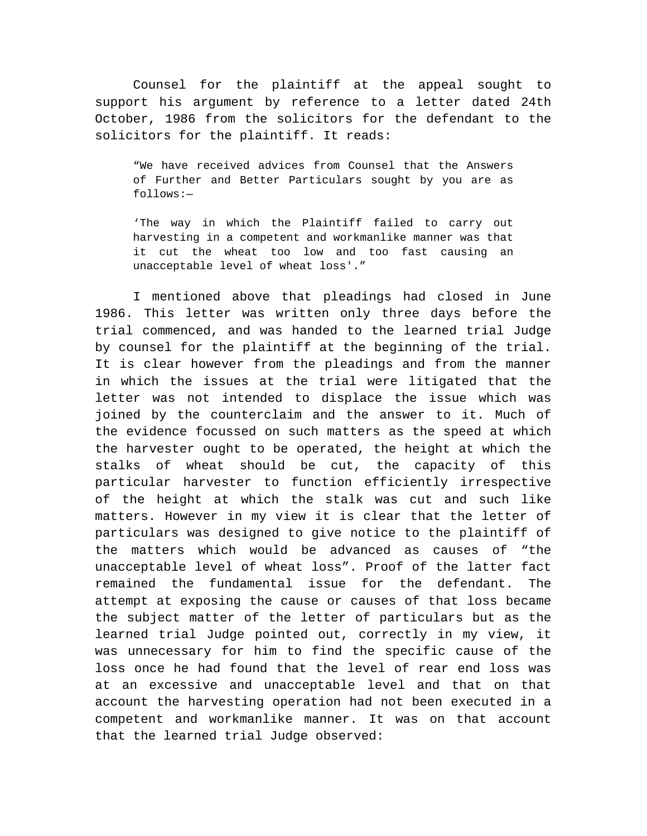Counsel for the plaintiff at the appeal sought to support his argument by reference to a letter dated 24th October, 1986 from the solicitors for the defendant to the solicitors for the plaintiff. It reads:

"We have received advices from Counsel that the Answers of Further and Better Particulars sought by you are as follows:—

'The way in which the Plaintiff failed to carry out harvesting in a competent and workmanlike manner was that it cut the wheat too low and too fast causing an unacceptable level of wheat loss'."

I mentioned above that pleadings had closed in June 1986. This letter was written only three days before the trial commenced, and was handed to the learned trial Judge by counsel for the plaintiff at the beginning of the trial. It is clear however from the pleadings and from the manner in which the issues at the trial were litigated that the letter was not intended to displace the issue which was joined by the counterclaim and the answer to it. Much of the evidence focussed on such matters as the speed at which the harvester ought to be operated, the height at which the stalks of wheat should be cut, the capacity of this particular harvester to function efficiently irrespective of the height at which the stalk was cut and such like matters. However in my view it is clear that the letter of particulars was designed to give notice to the plaintiff of the matters which would be advanced as causes of "the unacceptable level of wheat loss". Proof of the latter fact remained the fundamental issue for the defendant. The attempt at exposing the cause or causes of that loss became the subject matter of the letter of particulars but as the learned trial Judge pointed out, correctly in my view, it was unnecessary for him to find the specific cause of the loss once he had found that the level of rear end loss was at an excessive and unacceptable level and that on that account the harvesting operation had not been executed in a competent and workmanlike manner. It was on that account that the learned trial Judge observed: